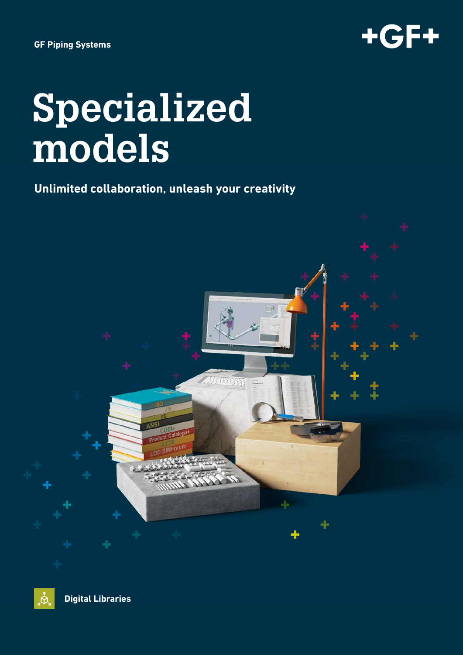

# **Specialized models**

## **Unlimited collaboration, unleash your creativity**



**Digital Libraries**

 $\overline{\mathbf{\hat{\alpha}}}$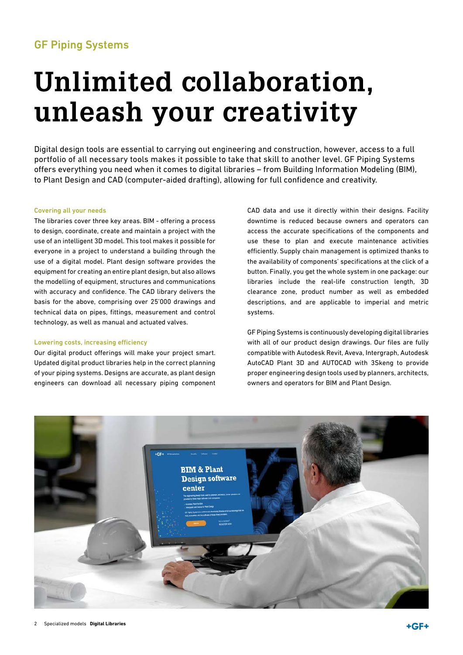### GF Piping Systems

# **Unlimited collaboration, unleash your creativity**

Digital design tools are essential to carrying out engineering and construction, however, access to a full portfolio of all necessary tools makes it possible to take that skill to another level. GF Piping Systems offers everything you need when it comes to digital libraries – from Building Information Modeling (BIM), to Plant Design and CAD (computer-aided drafting), allowing for full confidence and creativity.

#### Covering all your needs

The libraries cover three key areas. BIM - offering a process to design, coordinate, create and maintain a project with the use of an intelligent 3D model. This tool makes it possible for everyone in a project to understand a building through the use of a digital model. Plant design software provides the equipment for creating an entire plant design, but also allows the modelling of equipment, structures and communications with accuracy and confidence. The CAD library delivers the basis for the above, comprising over 25'000 drawings and technical data on pipes, fittings, measurement and control technology, as well as manual and actuated valves.

#### Lowering costs, increasing efficiency

Our digital product offerings will make your project smart. Updated digital product libraries help in the correct planning of your piping systems. Designs are accurate, as plant design engineers can download all necessary piping component CAD data and use it directly within their designs. Facility downtime is reduced because owners and operators can access the accurate specifications of the components and use these to plan and execute maintenance activities efficiently. Supply chain management is optimized thanks to the availability of components' specifications at the click of a button. Finally, you get the whole system in one package: our libraries include the real-life construction length, 3D clearance zone, product number as well as embedded descriptions, and are applicable to imperial and metric systems.

GF Piping Systems is continuously developing digital libraries with all of our product design drawings. Our files are fully compatible with Autodesk Revit, Aveva, Intergraph, Autodesk AutoCAD Plant 3D and AUTOCAD with 3Skeng to provide proper engineering design tools used by planners, architects, owners and operators for BIM and Plant Design.

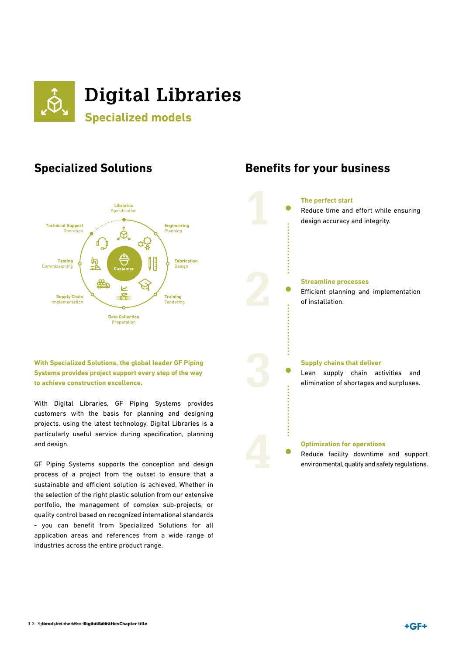

### **Specialized Solutions**



#### **With Specialized Solutions, the global leader GF Piping Systems provides project support every step of the way to achieve construction excellence.**

With Digital Libraries, GF Piping Systems provides customers with the basis for planning and designing projects, using the latest technology. Digital Libraries is a particularly useful service during specification, planning and design.

GF Piping Systems supports the conception and design process of a project from the outset to ensure that a sustainable and efficient solution is achieved. Whether in the selection of the right plastic solution from our extensive portfolio, the management of complex sub-projects, or quality control based on recognized international standards - you can benefit from Specialized Solutions for all application areas and references from a wide range of industries across the entire product range.

### **Benefits for your business**

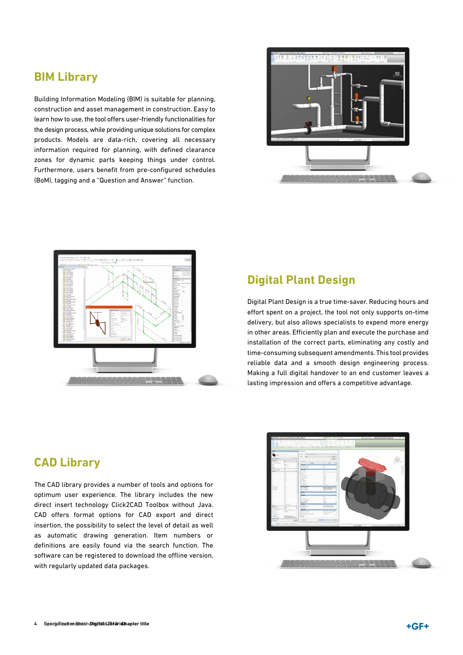### **BIM Library**

Building Information Modeling (BIM) is suitable for planning, construction and asset management in construction. Easy to learn how to use, the tool offers user-friendly functionalities for the design process, while providing unique solutions for complex products. Models are data-rich, covering all necessary information required for planning, with defined clearance zones for dynamic parts keeping things under control. Furthermore, users benefit from pre-configured schedules (BoM), tagging and a "Question and Answer" function.





#### **Digital Plant Design**

Digital Plant Design is a true time-saver. Reducing hours and effort spent on a project, the tool not only supports on-time delivery, but also allows specialists to expend more energy in other areas. Efficiently plan and execute the purchase and installation of the correct parts, eliminating any costly and time-consuming subsequent amendments. This tool provides reliable data and a smooth design engineering process. Making a full digital handover to an end customer leaves a lasting impression and offers a competitive advantage.

#### **CAD Library**

The CAD library provides a number of tools and options for optimum user experience. The library includes the new direct insert technology Click2CAD Toolbox without Java. CAD offers format options for CAD export and direct insertion, the possibility to select the level of detail as well as automatic drawing generation. Item numbers or definitions are easily found via the search function. The software can be registered to download the offline version, with regularly updated data packages.

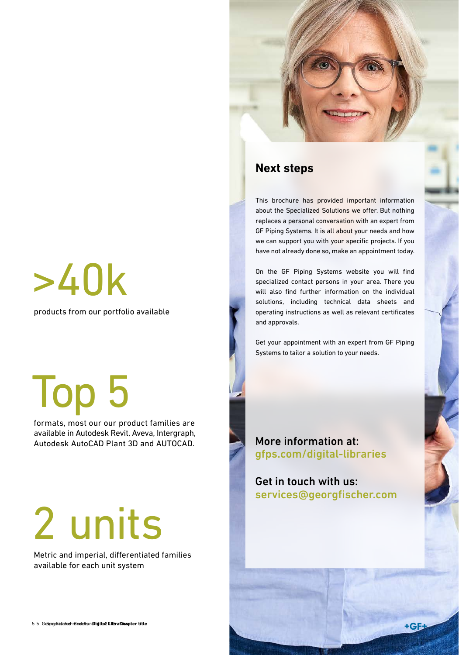# >40k

products from our portfolio available

# Top 5

 formats, most our our product families are available in Autodesk Revit, Aveva, Intergraph, Autodesk AutoCAD Plant 3D and AUTOCAD.

# 2 units

 Metric and imperial, differentiated families available for each unit system

### **Next steps**

This brochure has provided important information about the Specialized Solutions we offer. But nothing replaces a personal conversation with an expert from GF Piping Systems. It is all about your needs and how we can support you with your specific projects. If you have not already done so, make an appointment today.

On the GF Piping Systems website you will find specialized contact persons in your area. There you will also find further information on the individual solutions, including technical data sheets and operating instructions as well as relevant certificates and approvals.

Get your appointment with an expert from GF Piping Systems to tailor a solution to your needs.

More information at: gfps.com/digital-libraries

Get in touch with us: services@georgfischer.com

 $+$ GF $\pm$